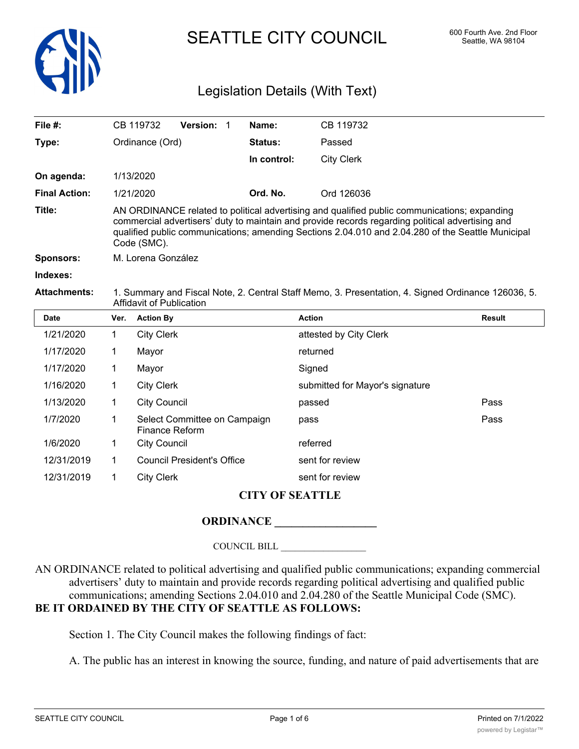

SEATTLE CITY COUNCIL 600 Fourth Ave. 2nd Floor

# Legislation Details (With Text)

| File $#$ :           | CB 119732                                                                                                                                                                                                                                                                                                            | <b>Version: 1</b> | Name:       | CB 119732         |  |  |
|----------------------|----------------------------------------------------------------------------------------------------------------------------------------------------------------------------------------------------------------------------------------------------------------------------------------------------------------------|-------------------|-------------|-------------------|--|--|
| Type:                | Ordinance (Ord)                                                                                                                                                                                                                                                                                                      |                   |             | Passed            |  |  |
|                      |                                                                                                                                                                                                                                                                                                                      |                   | In control: | <b>City Clerk</b> |  |  |
| On agenda:           | 1/13/2020                                                                                                                                                                                                                                                                                                            |                   |             |                   |  |  |
| <b>Final Action:</b> | 1/21/2020                                                                                                                                                                                                                                                                                                            |                   | Ord. No.    | Ord 126036        |  |  |
| Title:               | AN ORDINANCE related to political advertising and qualified public communications; expanding<br>commercial advertisers' duty to maintain and provide records regarding political advertising and<br>qualified public communications; amending Sections 2.04.010 and 2.04.280 of the Seattle Municipal<br>Code (SMC). |                   |             |                   |  |  |
| Sponsors:            | M. Lorena González                                                                                                                                                                                                                                                                                                   |                   |             |                   |  |  |
| Indexes:             |                                                                                                                                                                                                                                                                                                                      |                   |             |                   |  |  |
|                      |                                                                                                                                                                                                                                                                                                                      |                   |             |                   |  |  |

**Attachments:** 1. Summary and Fiscal Note, 2. Central Staff Memo, 3. Presentation, 4. Signed Ordinance 126036, 5. Affidavit of Publication

| <b>Date</b> | Ver. | <b>Action By</b>                               | <b>Action</b>                   | Result |
|-------------|------|------------------------------------------------|---------------------------------|--------|
| 1/21/2020   | 1    | <b>City Clerk</b>                              | attested by City Clerk          |        |
| 1/17/2020   | 1    | Mayor                                          | returned                        |        |
| 1/17/2020   | 1    | Mayor                                          | Signed                          |        |
| 1/16/2020   | 1    | <b>City Clerk</b>                              | submitted for Mayor's signature |        |
| 1/13/2020   | 1    | <b>City Council</b>                            | passed                          | Pass   |
| 1/7/2020    | 1    | Select Committee on Campaign<br>Finance Reform | pass                            | Pass   |
| 1/6/2020    | 1    | <b>City Council</b>                            | referred                        |        |
| 12/31/2019  | 1    | <b>Council President's Office</b>              | sent for review                 |        |
| 12/31/2019  |      | <b>City Clerk</b>                              | sent for review                 |        |

### **CITY OF SEATTLE**

### **ORDINANCE**

COUNCIL BILL \_\_\_\_\_\_\_\_\_\_\_\_\_\_\_\_\_\_

AN ORDINANCE related to political advertising and qualified public communications; expanding commercial advertisers' duty to maintain and provide records regarding political advertising and qualified public communications; amending Sections 2.04.010 and 2.04.280 of the Seattle Municipal Code (SMC). **BE IT ORDAINED BY THE CITY OF SEATTLE AS FOLLOWS:**

Section 1. The City Council makes the following findings of fact:

A. The public has an interest in knowing the source, funding, and nature of paid advertisements that are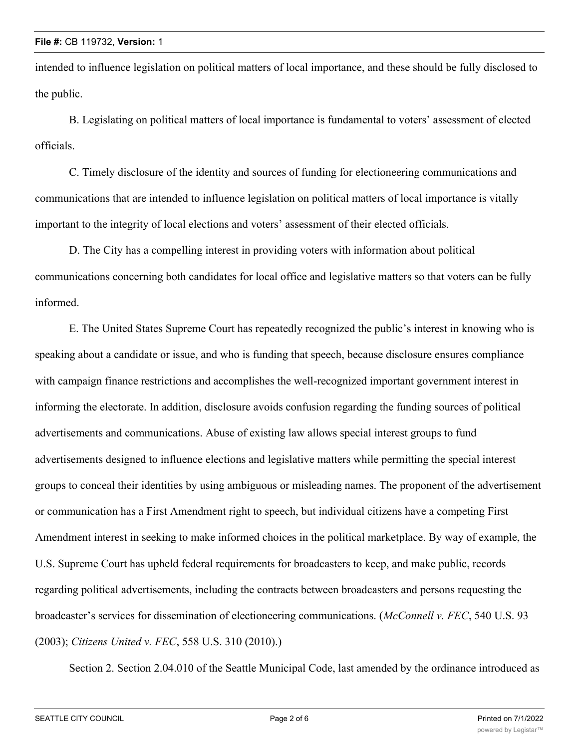intended to influence legislation on political matters of local importance, and these should be fully disclosed to the public.

B. Legislating on political matters of local importance is fundamental to voters' assessment of elected officials.

C. Timely disclosure of the identity and sources of funding for electioneering communications and communications that are intended to influence legislation on political matters of local importance is vitally important to the integrity of local elections and voters' assessment of their elected officials.

D. The City has a compelling interest in providing voters with information about political communications concerning both candidates for local office and legislative matters so that voters can be fully informed.

E. The United States Supreme Court has repeatedly recognized the public's interest in knowing who is speaking about a candidate or issue, and who is funding that speech, because disclosure ensures compliance with campaign finance restrictions and accomplishes the well-recognized important government interest in informing the electorate. In addition, disclosure avoids confusion regarding the funding sources of political advertisements and communications. Abuse of existing law allows special interest groups to fund advertisements designed to influence elections and legislative matters while permitting the special interest groups to conceal their identities by using ambiguous or misleading names. The proponent of the advertisement or communication has a First Amendment right to speech, but individual citizens have a competing First Amendment interest in seeking to make informed choices in the political marketplace. By way of example, the U.S. Supreme Court has upheld federal requirements for broadcasters to keep, and make public, records regarding political advertisements, including the contracts between broadcasters and persons requesting the broadcaster's services for dissemination of electioneering communications. (*McConnell v. FEC*, 540 U.S. 93 (2003); *Citizens United v. FEC*, 558 U.S. 310 (2010).)

Section 2. Section 2.04.010 of the Seattle Municipal Code, last amended by the ordinance introduced as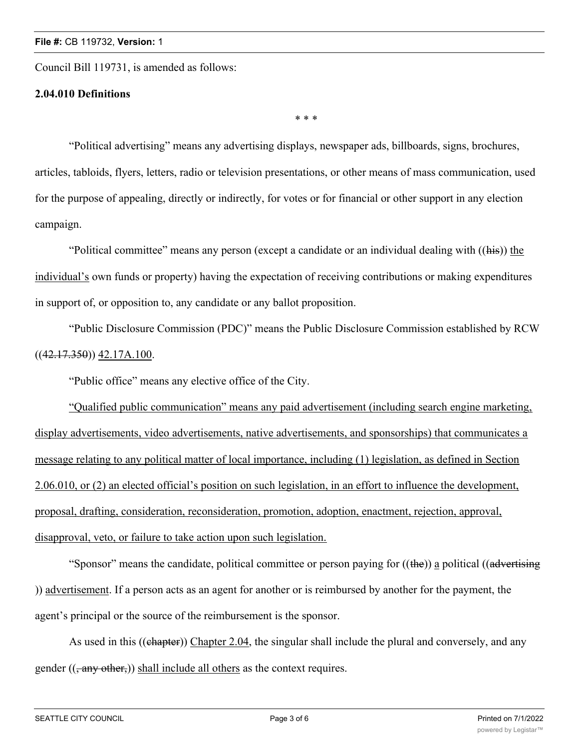Council Bill 119731, is amended as follows:

## **2.04.010 Definitions**

"Political advertising" means any advertising displays, newspaper ads, billboards, signs, brochures, articles, tabloids, flyers, letters, radio or television presentations, or other means of mass communication, used for the purpose of appealing, directly or indirectly, for votes or for financial or other support in any election campaign.

\* \* \*

"Political committee" means any person (except a candidate or an individual dealing with ((his)) the individual's own funds or property) having the expectation of receiving contributions or making expenditures in support of, or opposition to, any candidate or any ballot proposition.

"Public Disclosure Commission (PDC)" means the Public Disclosure Commission established by RCW  $((42.17.350))$  42.17A.100.

"Public office" means any elective office of the City.

"Qualified public communication" means any paid advertisement (including search engine marketing, display advertisements, video advertisements, native advertisements, and sponsorships) that communicates a message relating to any political matter of local importance, including (1) legislation, as defined in Section 2.06.010, or (2) an elected official's position on such legislation, in an effort to influence the development, proposal, drafting, consideration, reconsideration, promotion, adoption, enactment, rejection, approval, disapproval, veto, or failure to take action upon such legislation.

"Sponsor" means the candidate, political committee or person paying for  $((the))$  a political  $((adverting$ )) advertisement. If a person acts as an agent for another or is reimbursed by another for the payment, the agent's principal or the source of the reimbursement is the sponsor.

As used in this ((chapter)) Chapter 2.04, the singular shall include the plural and conversely, and any gender  $((,$  any other,)) shall include all others as the context requires.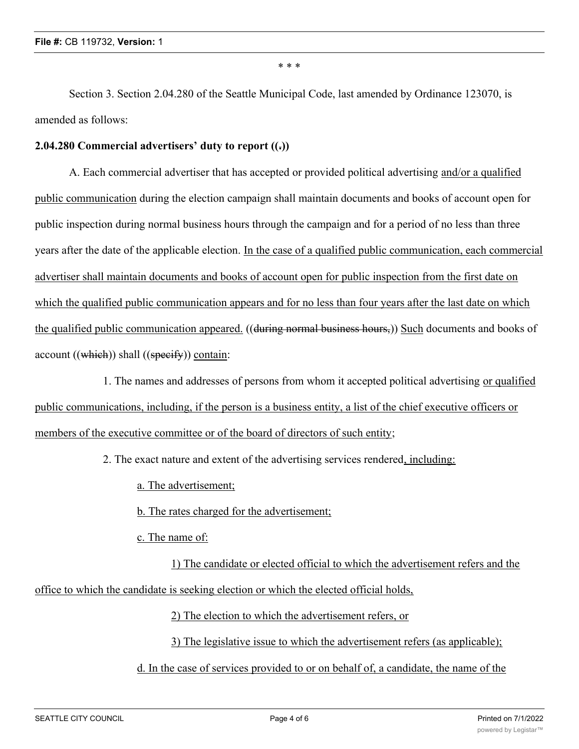\* \* \*

Section 3. Section 2.04.280 of the Seattle Municipal Code, last amended by Ordinance 123070, is amended as follows:

#### **2.04.280 Commercial advertisers' duty to report ((.))**

A. Each commercial advertiser that has accepted or provided political advertising and/or a qualified public communication during the election campaign shall maintain documents and books of account open for public inspection during normal business hours through the campaign and for a period of no less than three years after the date of the applicable election. In the case of a qualified public communication, each commercial advertiser shall maintain documents and books of account open for public inspection from the first date on which the qualified public communication appears and for no less than four years after the last date on which the qualified public communication appeared. ((during normal business hours,)) Such documents and books of account  $((which))$  shall  $((\text{specificity}))$  contain:

1. The names and addresses of persons from whom it accepted political advertising or qualified public communications, including, if the person is a business entity, a list of the chief executive officers or members of the executive committee or of the board of directors of such entity;

2. The exact nature and extent of the advertising services rendered, including:

a. The advertisement;

b. The rates charged for the advertisement;

c. The name of:

1) The candidate or elected official to which the advertisement refers and the

office to which the candidate is seeking election or which the elected official holds,

2) The election to which the advertisement refers, or

3) The legislative issue to which the advertisement refers (as applicable);

d. In the case of services provided to or on behalf of, a candidate, the name of the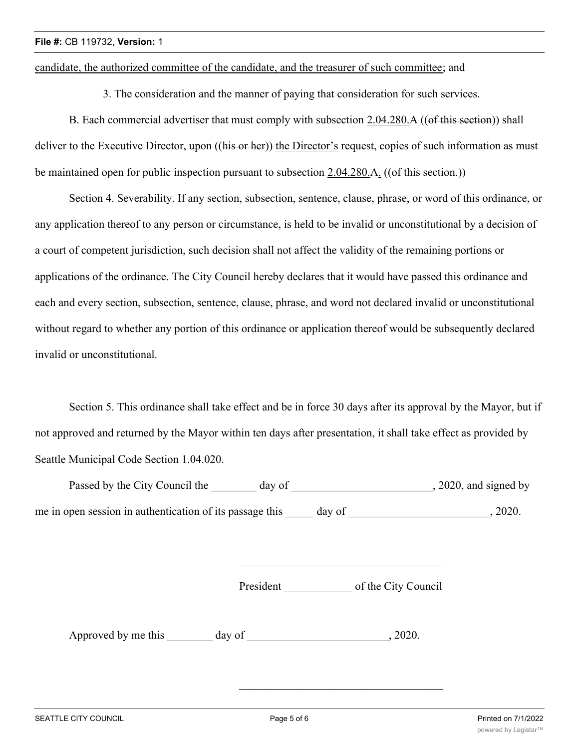candidate, the authorized committee of the candidate, and the treasurer of such committee; and

3. The consideration and the manner of paying that consideration for such services.

B. Each commercial advertiser that must comply with subsection 2.04.280.A ((of this section)) shall deliver to the Executive Director, upon ((his or her)) the Director's request, copies of such information as must be maintained open for public inspection pursuant to subsection 2.04.280.A. ((of this section.))

Section 4. Severability. If any section, subsection, sentence, clause, phrase, or word of this ordinance, or any application thereof to any person or circumstance, is held to be invalid or unconstitutional by a decision of a court of competent jurisdiction, such decision shall not affect the validity of the remaining portions or applications of the ordinance. The City Council hereby declares that it would have passed this ordinance and each and every section, subsection, sentence, clause, phrase, and word not declared invalid or unconstitutional without regard to whether any portion of this ordinance or application thereof would be subsequently declared invalid or unconstitutional.

Section 5. This ordinance shall take effect and be in force 30 days after its approval by the Mayor, but if not approved and returned by the Mayor within ten days after presentation, it shall take effect as provided by Seattle Municipal Code Section 1.04.020.

Passed by the City Council the \_\_\_\_\_\_\_ day of \_\_\_\_\_\_\_\_\_\_\_\_\_\_\_\_\_\_\_\_\_\_\_, 2020, and signed by me in open session in authentication of its passage this day of 3020.

President of the City Council

\_\_\_\_\_\_\_\_\_\_\_\_\_\_\_\_\_\_\_\_\_\_\_\_\_\_\_\_\_\_\_\_\_\_\_\_

Approved by me this \_\_\_\_\_\_ day of \_\_\_\_\_\_\_\_\_\_\_\_\_\_\_\_\_\_\_\_\_, 2020.